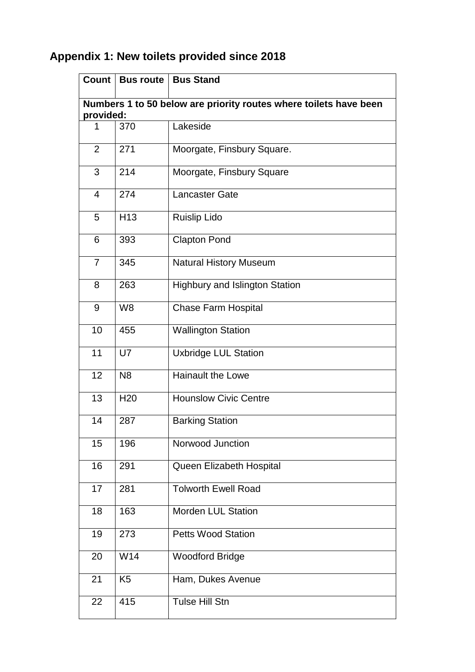## **Appendix 1: New toilets provided since 2018**

|                                                                                | Count   Bus route | <b>Bus Stand</b>                      |  |  |
|--------------------------------------------------------------------------------|-------------------|---------------------------------------|--|--|
| Numbers 1 to 50 below are priority routes where toilets have been<br>provided: |                   |                                       |  |  |
| 1                                                                              | 370               | Lakeside                              |  |  |
| 2                                                                              | 271               | Moorgate, Finsbury Square.            |  |  |
| 3                                                                              | 214               | Moorgate, Finsbury Square             |  |  |
| $\overline{4}$                                                                 | 274               | <b>Lancaster Gate</b>                 |  |  |
| 5                                                                              | H <sub>13</sub>   | <b>Ruislip Lido</b>                   |  |  |
| 6                                                                              | 393               | <b>Clapton Pond</b>                   |  |  |
| $\overline{7}$                                                                 | 345               | <b>Natural History Museum</b>         |  |  |
| 8                                                                              | 263               | <b>Highbury and Islington Station</b> |  |  |
| 9                                                                              | W <sub>8</sub>    | <b>Chase Farm Hospital</b>            |  |  |
| 10                                                                             | 455               | <b>Wallington Station</b>             |  |  |
| 11                                                                             | U7                | <b>Uxbridge LUL Station</b>           |  |  |
| 12                                                                             | N <sub>8</sub>    | <b>Hainault the Lowe</b>              |  |  |
| 13                                                                             | H <sub>20</sub>   | <b>Hounslow Civic Centre</b>          |  |  |
| 14                                                                             | 287               | <b>Barking Station</b>                |  |  |
| 15                                                                             | 196               | Norwood Junction                      |  |  |
| 16                                                                             | 291               | Queen Elizabeth Hospital              |  |  |
| 17                                                                             | 281               | <b>Tolworth Ewell Road</b>            |  |  |
| 18                                                                             | 163               | <b>Morden LUL Station</b>             |  |  |
| 19                                                                             | 273               | <b>Petts Wood Station</b>             |  |  |
| 20                                                                             | W14               | <b>Woodford Bridge</b>                |  |  |
| 21                                                                             | K <sub>5</sub>    | Ham, Dukes Avenue                     |  |  |
| 22                                                                             | 415               | Tulse Hill Stn                        |  |  |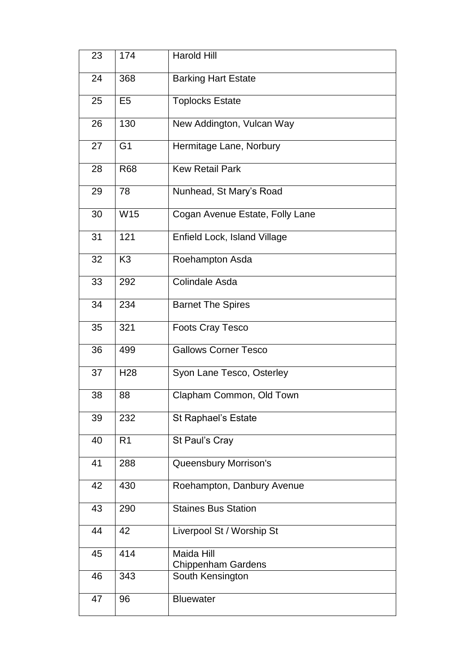| 23 | 174             | Harold Hill                      |
|----|-----------------|----------------------------------|
| 24 | 368             | <b>Barking Hart Estate</b>       |
| 25 | E <sub>5</sub>  | <b>Toplocks Estate</b>           |
| 26 | 130             | New Addington, Vulcan Way        |
| 27 | G <sub>1</sub>  | Hermitage Lane, Norbury          |
| 28 | <b>R68</b>      | <b>Kew Retail Park</b>           |
| 29 | 78              | Nunhead, St Mary's Road          |
| 30 | W15             | Cogan Avenue Estate, Folly Lane  |
| 31 | 121             | Enfield Lock, Island Village     |
| 32 | K <sub>3</sub>  | Roehampton Asda                  |
| 33 | 292             | Colindale Asda                   |
| 34 | 234             | <b>Barnet The Spires</b>         |
| 35 | 321             | <b>Foots Cray Tesco</b>          |
| 36 | 499             | <b>Gallows Corner Tesco</b>      |
| 37 | H <sub>28</sub> | Syon Lane Tesco, Osterley        |
| 38 | 88              | Clapham Common, Old Town         |
| 39 | 232             | St Raphael's Estate              |
| 40 | R <sub>1</sub>  | St Paul's Cray                   |
| 41 | 288             | Queensbury Morrison's            |
| 42 | 430             | Roehampton, Danbury Avenue       |
| 43 | 290             | <b>Staines Bus Station</b>       |
| 44 | 42              | Liverpool St / Worship St        |
| 45 | 414             | Maida Hill<br>Chippenham Gardens |
| 46 | 343             | South Kensington                 |
| 47 | 96              | <b>Bluewater</b>                 |